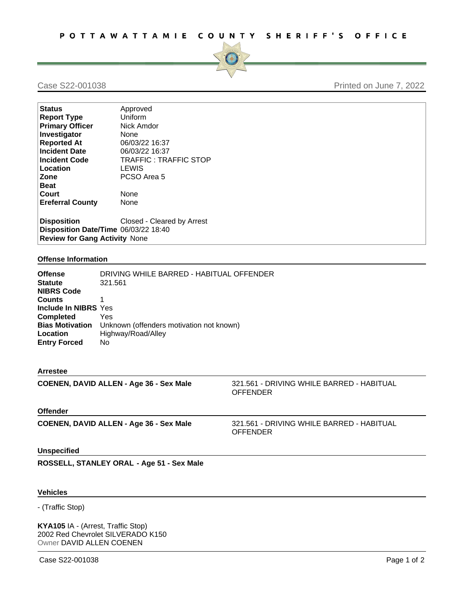

### Case S22-001038 Printed on June 7, 2022

| <b>Status</b>                        | Approved                   |  |
|--------------------------------------|----------------------------|--|
| <b>Report Type</b>                   | Uniform                    |  |
| <b>Primary Officer</b>               | Nick Amdor                 |  |
| Investigator                         | None                       |  |
| <b>Reported At</b>                   | 06/03/22 16:37             |  |
| <b>Incident Date</b>                 | 06/03/22 16:37             |  |
| <b>Incident Code</b>                 | TRAFFIC: TRAFFIC STOP      |  |
| Location                             | LEWIS                      |  |
| Zone                                 | PCSO Area 5                |  |
| <b>Beat</b>                          |                            |  |
| Court                                | None                       |  |
| <b>Ereferral County</b>              | None                       |  |
|                                      |                            |  |
| <b>Disposition</b>                   | Closed - Cleared by Arrest |  |
| Disposition Date/Time 06/03/22 18:40 |                            |  |
| <b>Review for Gang Activity None</b> |                            |  |

#### **Offense Information**

| <b>Offense</b>              | DRIVING WHILE BARRED - HABITUAL OFFENDER                 |
|-----------------------------|----------------------------------------------------------|
| <b>Statute</b>              | 321.561                                                  |
| <b>NIBRS Code</b>           |                                                          |
| <b>Counts</b>               |                                                          |
| <b>Include In NIBRS Yes</b> |                                                          |
| <b>Completed</b>            | Yes                                                      |
|                             | Bias Motivation Unknown (offenders motivation not known) |
| Location                    | Highway/Road/Alley                                       |
| <b>Entry Forced</b>         | No.                                                      |
|                             |                                                          |

#### **Arrestee**

**COENEY ALLES COENEY 321.561 - DRIVING WHILE BARRED - HABITUAL** OFFENDER

#### **Offender**

**COENEN, DAVID ALLEN - Age 36 - Sex Male** 321.561 - DRIVING WHILE BARRED - HABITUAL OFFENDER

#### **Unspecified**

**ROSSELL, STANLEY ORAL - Age 51 - Sex Male**

#### **Vehicles**

- (Traffic Stop)

**KYA105** IA - (Arrest, Traffic Stop) 2002 Red Chevrolet SILVERADO K150 Owner DAVID ALLEN COENEN